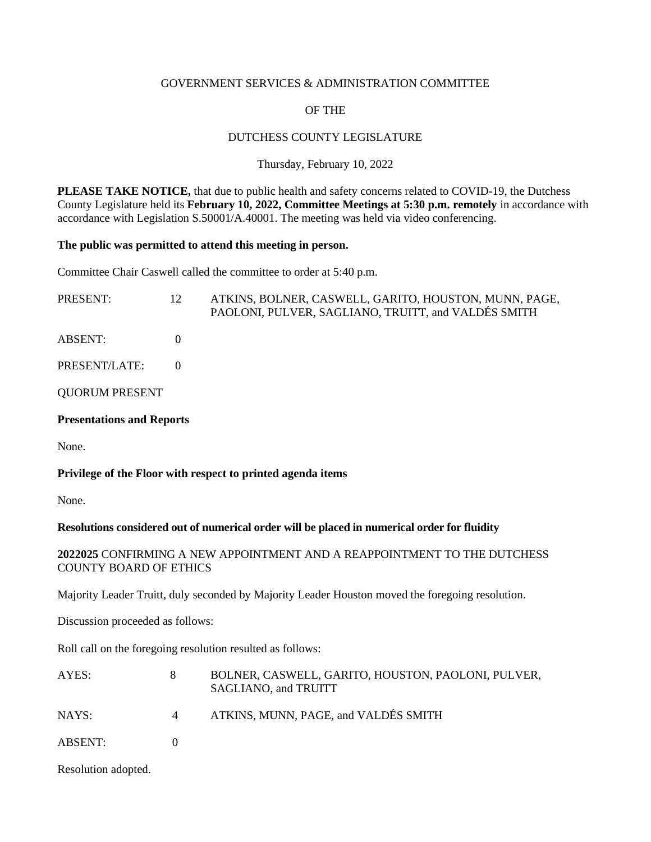#### GOVERNMENT SERVICES & ADMINISTRATION COMMITTEE

# OF THE

## DUTCHESS COUNTY LEGISLATURE

#### Thursday, February 10, 2022

**PLEASE TAKE NOTICE,** that due to public health and safety concerns related to COVID-19, the Dutchess County Legislature held its **February 10, 2022, Committee Meetings at 5:30 p.m. remotely** in accordance with accordance with Legislation S.50001/A.40001. The meeting was held via video conferencing.

#### **The public was permitted to attend this meeting in person.**

Committee Chair Caswell called the committee to order at 5:40 p.m.

| <b>ABSENT:</b>                   | PAOLONI, PULVER, SAGLIANO, TRUITT, and VALDÉS SMITH |
|----------------------------------|-----------------------------------------------------|
| PRESENT/LATE:                    |                                                     |
| <b>QUORUM PRESENT</b>            |                                                     |
| <b>Presentations and Reports</b> |                                                     |

None.

# **Privilege of the Floor with respect to printed agenda items**

None.

## **Resolutions considered out of numerical order will be placed in numerical order for fluidity**

# **2022025** CONFIRMING A NEW APPOINTMENT AND A REAPPOINTMENT TO THE DUTCHESS COUNTY BOARD OF ETHICS

Majority Leader Truitt, duly seconded by Majority Leader Houston moved the foregoing resolution.

Discussion proceeded as follows:

Roll call on the foregoing resolution resulted as follows:

| AYES:          | BOLNER, CASWELL, GARITO, HOUSTON, PAOLONI, PULVER,<br>SAGLIANO, and TRUITT |
|----------------|----------------------------------------------------------------------------|
| NAYS:          | ATKINS, MUNN, PAGE, and VALDÉS SMITH                                       |
| <b>ABSENT:</b> |                                                                            |

Resolution adopted.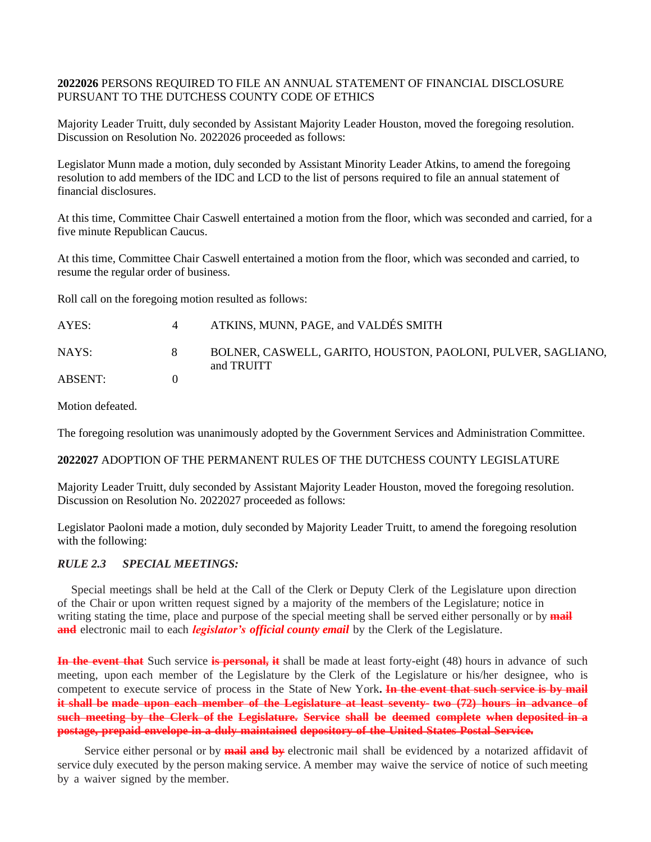## **2022026** PERSONS REQUIRED TO FILE AN ANNUAL STATEMENT OF FINANCIAL DISCLOSURE PURSUANT TO THE DUTCHESS COUNTY CODE OF ETHICS

Majority Leader Truitt, duly seconded by Assistant Majority Leader Houston, moved the foregoing resolution. Discussion on Resolution No. 2022026 proceeded as follows:

Legislator Munn made a motion, duly seconded by Assistant Minority Leader Atkins, to amend the foregoing resolution to add members of the IDC and LCD to the list of persons required to file an annual statement of financial disclosures.

At this time, Committee Chair Caswell entertained a motion from the floor, which was seconded and carried, for a five minute Republican Caucus.

At this time, Committee Chair Caswell entertained a motion from the floor, which was seconded and carried, to resume the regular order of business.

Roll call on the foregoing motion resulted as follows:

| AYES:   |    | ATKINS, MUNN, PAGE, and VALDÉS SMITH                                       |
|---------|----|----------------------------------------------------------------------------|
| NAYS:   | X. | BOLNER, CASWELL, GARITO, HOUSTON, PAOLONI, PULVER, SAGLIANO,<br>and TRUITT |
| ABSENT: |    |                                                                            |

Motion defeated.

The foregoing resolution was unanimously adopted by the Government Services and Administration Committee.

#### **2022027** ADOPTION OF THE PERMANENT RULES OF THE DUTCHESS COUNTY LEGISLATURE

Majority Leader Truitt, duly seconded by Assistant Majority Leader Houston, moved the foregoing resolution. Discussion on Resolution No. 2022027 proceeded as follows:

Legislator Paoloni made a motion, duly seconded by Majority Leader Truitt, to amend the foregoing resolution with the following:

## *RULE 2.3 SPECIAL MEETINGS:*

Special meetings shall be held at the Call of the Clerk or Deputy Clerk of the Legislature upon direction of the Chair or upon written request signed by a majority of the members of the Legislature; notice in writing stating the time, place and purpose of the special meeting shall be served either personally or by **mail and** electronic mail to each *legislator's official county email* by the Clerk of the Legislature.

**In the event that** Such service **is personal, it** shall be made at least forty-eight (48) hours in advance of such meeting, upon each member of the Legislature by the Clerk of the Legislature or his/her designee, who is competent to execute service of process in the State of New York**. In the event that such service is by mail** it shall be made upon each member of the Legislature at least seventy- two (72) hours in advance of **such meeting by the Clerk of the Legislature. Service shall be deemed complete when deposited in a postage, prepaid envelope in a duly maintained depository of the United States Postal Service.**

Service either personal or by **mail and by** electronic mail shall be evidenced by a notarized affidavit of service duly executed by the person making service. A member may waive the service of notice of such meeting by a waiver signed by the member.